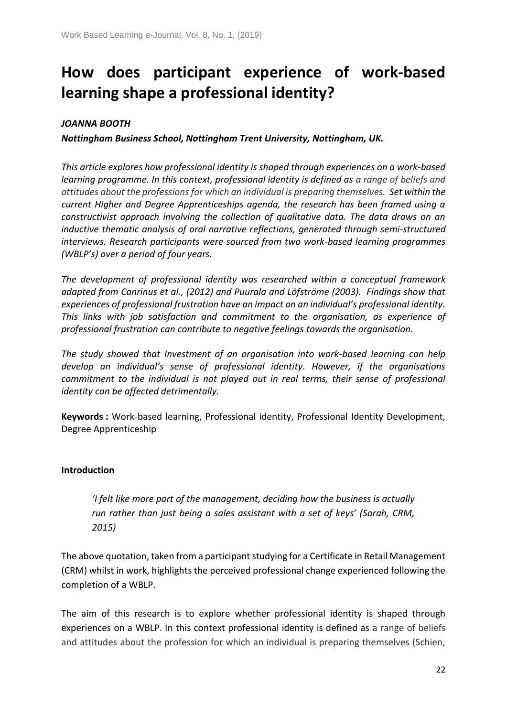# **How does participant experience of work-based learning shape a professional identity?**

## *JOANNA BOOTH*

*Nottingham Business School, Nottingham Trent University, Nottingham, UK.*

*This article explores how professional identity is shaped through experiences on a work-based learning programme. In this context, professional identity is defined as a range of beliefs and attitudes about the professions for which an individual is preparing themselves. Set within the current Higher and Degree Apprenticeships agenda, the research has been framed using a constructivist approach involving the collection of qualitative data. The data draws on an inductive thematic analysis of oral narrative reflections, generated through semi-structured interviews. Research participants were sourced from two work-based learning programmes (WBLP's) over a period of four years.*

*The development of professional identity was researched within a conceptual framework adapted from Canrinus et al., (2012) and Puurala and Löfströme (2003). Findings show that experiences of professional frustration have an impact on an individual's professional identity. This links with job satisfaction and commitment to the organisation, as experience of professional frustration can contribute to negative feelings towards the organisation.*

*The study showed that Investment of an organisation into work-based learning can help develop an individual's sense of professional identity. However, if the organisations commitment to the individual is not played out in real terms, their sense of professional identity can be affected detrimentally.* 

**Keywords :** Work-based learning, Professional identity, Professional Identity Development, Degree Apprenticeship

### **Introduction**

*'I felt like more part of the management, deciding how the business is actually run rather than just being a sales assistant with a set of keys' (Sarah, CRM, 2015)*

The above quotation, taken from a participant studying for a Certificate in Retail Management (CRM) whilst in work, highlights the perceived professional change experienced following the completion of a WBLP.

The aim of this research is to explore whether professional identity is shaped through experiences on a WBLP. In this context professional identity is defined as a range of beliefs and attitudes about the profession for which an individual is preparing themselves (Schien,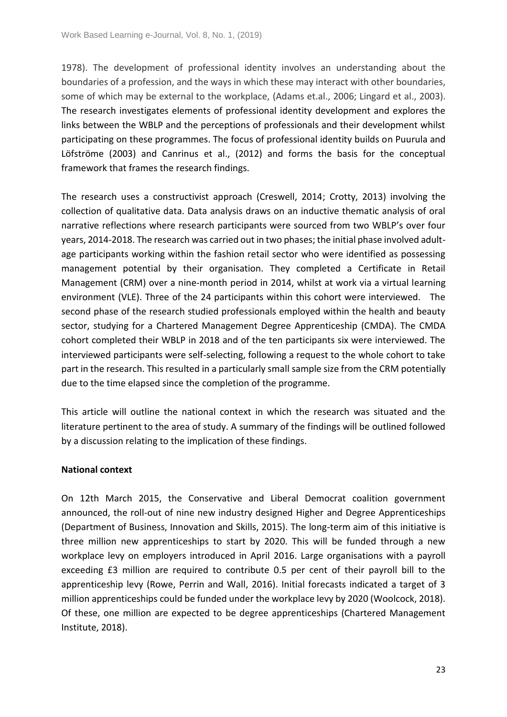1978). The development of professional identity involves an understanding about the boundaries of a profession, and the ways in which these may interact with other boundaries, some of which may be external to the workplace, (Adams et.al., 2006; Lingard et al., 2003). The research investigates elements of professional identity development and explores the links between the WBLP and the perceptions of professionals and their development whilst participating on these programmes. The focus of professional identity builds on Puurula and Löfströme (2003) and Canrinus et al., (2012) and forms the basis for the conceptual framework that frames the research findings.

The research uses a constructivist approach (Creswell, 2014; Crotty, 2013) involving the collection of qualitative data. Data analysis draws on an inductive thematic analysis of oral narrative reflections where research participants were sourced from two WBLP's over four years, 2014-2018. The research was carried out in two phases; the initial phase involved adultage participants working within the fashion retail sector who were identified as possessing management potential by their organisation. They completed a Certificate in Retail Management (CRM) over a nine-month period in 2014, whilst at work via a virtual learning environment (VLE). Three of the 24 participants within this cohort were interviewed. The second phase of the research studied professionals employed within the health and beauty sector, studying for a Chartered Management Degree Apprenticeship (CMDA). The CMDA cohort completed their WBLP in 2018 and of the ten participants six were interviewed. The interviewed participants were self-selecting, following a request to the whole cohort to take part in the research. This resulted in a particularly small sample size from the CRM potentially due to the time elapsed since the completion of the programme.

This article will outline the national context in which the research was situated and the literature pertinent to the area of study. A summary of the findings will be outlined followed by a discussion relating to the implication of these findings.

### **National context**

On 12th March 2015, the Conservative and Liberal Democrat coalition government announced, the roll-out of nine new industry designed Higher and Degree Apprenticeships (Department of Business, Innovation and Skills, 2015). The long-term aim of this initiative is three million new apprenticeships to start by 2020. This will be funded through a new workplace levy on employers introduced in April 2016. Large organisations with a payroll exceeding £3 million are required to contribute 0.5 per cent of their payroll bill to the apprenticeship levy (Rowe, Perrin and Wall, 2016). Initial forecasts indicated a target of 3 million apprenticeships could be funded under the workplace levy by 2020 (Woolcock, 2018). Of these, one million are expected to be degree apprenticeships (Chartered Management Institute, 2018).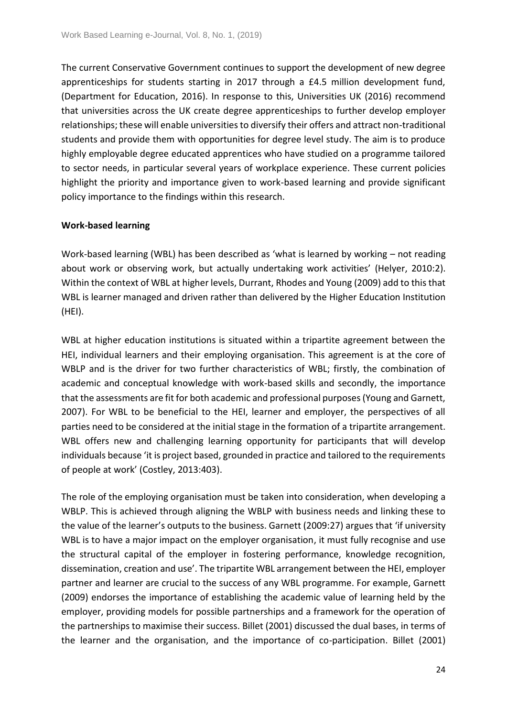The current Conservative Government continues to support the development of new degree apprenticeships for students starting in 2017 through a £4.5 million development fund, (Department for Education, 2016). In response to this, Universities UK (2016) recommend that universities across the UK create degree apprenticeships to further develop employer relationships; these will enable universities to diversify their offers and attract non-traditional students and provide them with opportunities for degree level study. The aim is to produce highly employable degree educated apprentices who have studied on a programme tailored to sector needs, in particular several years of workplace experience. These current policies highlight the priority and importance given to work-based learning and provide significant policy importance to the findings within this research.

### **Work-based learning**

Work-based learning (WBL) has been described as 'what is learned by working – not reading about work or observing work, but actually undertaking work activities' (Helyer, 2010:2). Within the context of WBL at higher levels, Durrant, Rhodes and Young (2009) add to this that WBL is learner managed and driven rather than delivered by the Higher Education Institution (HEI).

WBL at higher education institutions is situated within a tripartite agreement between the HEI, individual learners and their employing organisation. This agreement is at the core of WBLP and is the driver for two further characteristics of WBL; firstly, the combination of academic and conceptual knowledge with work-based skills and secondly, the importance that the assessments are fit for both academic and professional purposes (Young and Garnett, 2007). For WBL to be beneficial to the HEI, learner and employer, the perspectives of all parties need to be considered at the initial stage in the formation of a tripartite arrangement. WBL offers new and challenging learning opportunity for participants that will develop individuals because 'it is project based, grounded in practice and tailored to the requirements of people at work' (Costley, 2013:403).

The role of the employing organisation must be taken into consideration, when developing a WBLP. This is achieved through aligning the WBLP with business needs and linking these to the value of the learner's outputs to the business. Garnett (2009:27) argues that 'if university WBL is to have a major impact on the employer organisation, it must fully recognise and use the structural capital of the employer in fostering performance, knowledge recognition, dissemination, creation and use'. The tripartite WBL arrangement between the HEI, employer partner and learner are crucial to the success of any WBL programme. For example, Garnett (2009) endorses the importance of establishing the academic value of learning held by the employer, providing models for possible partnerships and a framework for the operation of the partnerships to maximise their success. Billet (2001) discussed the dual bases, in terms of the learner and the organisation, and the importance of co-participation. Billet (2001)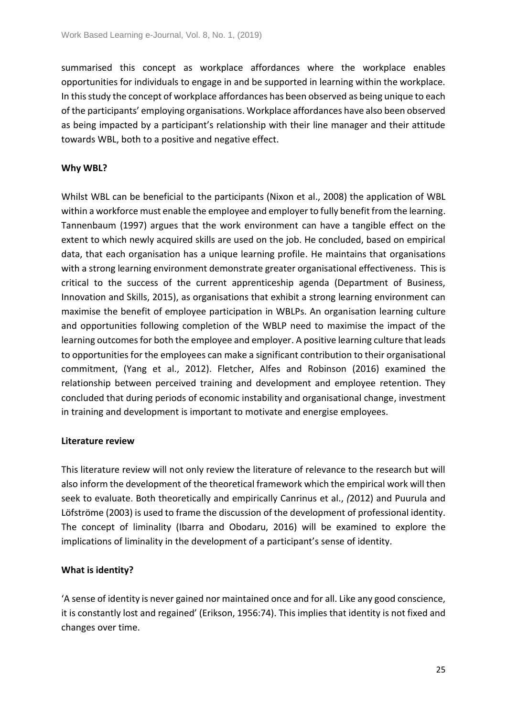summarised this concept as workplace affordances where the workplace enables opportunities for individuals to engage in and be supported in learning within the workplace. In this study the concept of workplace affordances has been observed as being unique to each of the participants' employing organisations. Workplace affordances have also been observed as being impacted by a participant's relationship with their line manager and their attitude towards WBL, both to a positive and negative effect.

#### **Why WBL?**

Whilst WBL can be beneficial to the participants (Nixon et al., 2008) the application of WBL within a workforce must enable the employee and employer to fully benefit from the learning. Tannenbaum (1997) argues that the work environment can have a tangible effect on the extent to which newly acquired skills are used on the job. He concluded, based on empirical data, that each organisation has a unique learning profile. He maintains that organisations with a strong learning environment demonstrate greater organisational effectiveness. This is critical to the success of the current apprenticeship agenda (Department of Business, Innovation and Skills, 2015), as organisations that exhibit a strong learning environment can maximise the benefit of employee participation in WBLPs. An organisation learning culture and opportunities following completion of the WBLP need to maximise the impact of the learning outcomes for both the employee and employer. A positive learning culture that leads to opportunities for the employees can make a significant contribution to their organisational commitment, (Yang et al., 2012). Fletcher, Alfes and Robinson (2016) examined the relationship between perceived training and development and employee retention. They concluded that during periods of economic instability and organisational change, investment in training and development is important to motivate and energise employees.

#### **Literature review**

This literature review will not only review the literature of relevance to the research but will also inform the development of the theoretical framework which the empirical work will then seek to evaluate. Both theoretically and empirically Canrinus et al., *(*2012) and Puurula and Löfströme (2003) is used to frame the discussion of the development of professional identity. The concept of liminality (Ibarra and Obodaru, 2016) will be examined to explore the implications of liminality in the development of a participant's sense of identity.

### **What is identity?**

'A sense of identity is never gained nor maintained once and for all. Like any good conscience, it is constantly lost and regained' (Erikson, 1956:74). This implies that identity is not fixed and changes over time.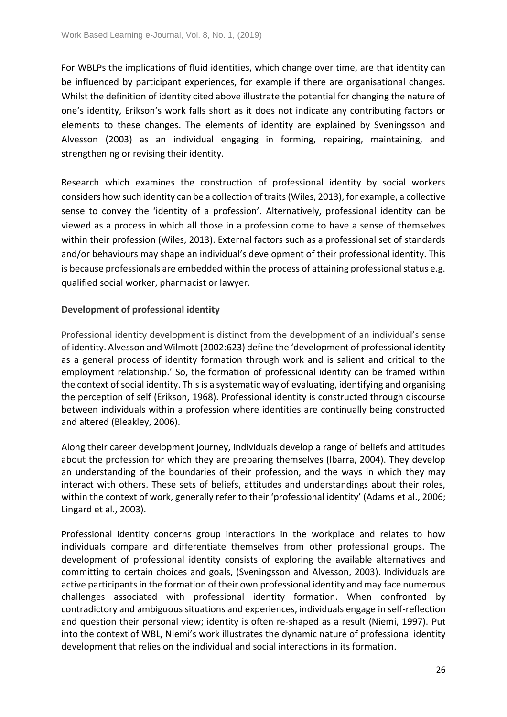For WBLPs the implications of fluid identities, which change over time, are that identity can be influenced by participant experiences, for example if there are organisational changes. Whilst the definition of identity cited above illustrate the potential for changing the nature of one's identity, Erikson's work falls short as it does not indicate any contributing factors or elements to these changes. The elements of identity are explained by Sveningsson and Alvesson (2003) as an individual engaging in forming, repairing, maintaining, and strengthening or revising their identity.

Research which examines the construction of professional identity by social workers considers how such identity can be a collection of traits (Wiles, 2013), for example, a collective sense to convey the 'identity of a profession'. Alternatively, professional identity can be viewed as a process in which all those in a profession come to have a sense of themselves within their profession (Wiles, 2013). External factors such as a professional set of standards and/or behaviours may shape an individual's development of their professional identity. This is because professionals are embedded within the process of attaining professional status e.g. qualified social worker, pharmacist or lawyer.

## **Development of professional identity**

Professional identity development is distinct from the development of an individual's sense of identity. Alvesson and Wilmott (2002:623) define the 'development of professional identity as a general process of identity formation through work and is salient and critical to the employment relationship.' So, the formation of professional identity can be framed within the context of social identity. This is a systematic way of evaluating, identifying and organising the perception of self (Erikson, 1968). Professional identity is constructed through discourse between individuals within a profession where identities are continually being constructed and altered (Bleakley, 2006).

Along their career development journey, individuals develop a range of beliefs and attitudes about the profession for which they are preparing themselves (Ibarra, 2004). They develop an understanding of the boundaries of their profession, and the ways in which they may interact with others. These sets of beliefs, attitudes and understandings about their roles, within the context of work, generally refer to their 'professional identity' (Adams et al., 2006; Lingard et al., 2003).

Professional identity concerns group interactions in the workplace and relates to how individuals compare and differentiate themselves from other professional groups. The development of professional identity consists of exploring the available alternatives and committing to certain choices and goals, (Sveningsson and Alvesson, 2003). Individuals are active participants in the formation of their own professional identity and may face numerous challenges associated with professional identity formation. When confronted by contradictory and ambiguous situations and experiences, individuals engage in self-reflection and question their personal view; identity is often re-shaped as a result (Niemi, 1997). Put into the context of WBL, Niemi's work illustrates the dynamic nature of professional identity development that relies on the individual and social interactions in its formation.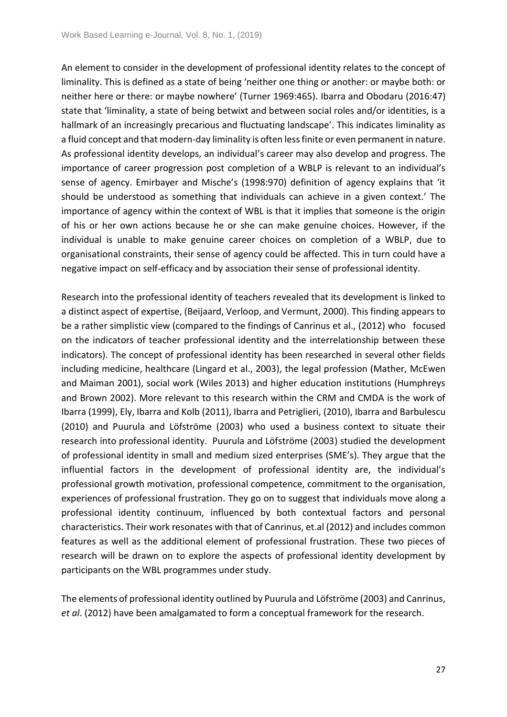An element to consider in the development of professional identity relates to the concept of liminality. This is defined as a state of being 'neither one thing or another: or maybe both: or neither here or there: or maybe nowhere' (Turner 1969:465). Ibarra and Obodaru (2016:47) state that 'liminality, a state of being betwixt and between social roles and/or identities, is a hallmark of an increasingly precarious and fluctuating landscape'. This indicates liminality as a fluid concept and that modern-day liminality is often less finite or even permanent in nature. As professional identity develops, an individual's career may also develop and progress. The importance of career progression post completion of a WBLP is relevant to an individual's sense of agency. Emirbayer and Mische's (1998:970) definition of agency explains that 'it should be understood as something that individuals can achieve in a given context.' The importance of agency within the context of WBL is that it implies that someone is the origin of his or her own actions because he or she can make genuine choices. However, if the individual is unable to make genuine career choices on completion of a WBLP, due to organisational constraints, their sense of agency could be affected. This in turn could have a negative impact on self-efficacy and by association their sense of professional identity.

Research into the professional identity of teachers revealed that its development is linked to a distinct aspect of expertise, (Beijaard, Verloop, and Vermunt, 2000). This finding appears to be a rather simplistic view (compared to the findings of Canrinus et al., (2012) who focused on the indicators of teacher professional identity and the interrelationship between these indicators). The concept of professional identity has been researched in several other fields including medicine, healthcare (Lingard et al., 2003), the legal profession (Mather, McEwen and Maiman 2001), social work (Wiles 2013) and higher education institutions (Humphreys and Brown 2002). More relevant to this research within the CRM and CMDA is the work of Ibarra (1999), Ely, Ibarra and Kolb (2011), Ibarra and Petriglieri, (2010), Ibarra and Barbulescu (2010) and Puurula and Löfströme (2003) who used a business context to situate their research into professional identity. Puurula and Löfströme (2003) studied the development of professional identity in small and medium sized enterprises (SME's). They argue that the influential factors in the development of professional identity are, the individual's professional growth motivation, professional competence, commitment to the organisation, experiences of professional frustration. They go on to suggest that individuals move along a professional identity continuum, influenced by both contextual factors and personal characteristics. Their work resonates with that of Canrinus, et.al (2012) and includes common features as well as the additional element of professional frustration. These two pieces of research will be drawn on to explore the aspects of professional identity development by participants on the WBL programmes under study.

The elements of professional identity outlined by Puurula and Löfströme (2003) and Canrinus, *et al*. (2012) have been amalgamated to form a conceptual framework for the research.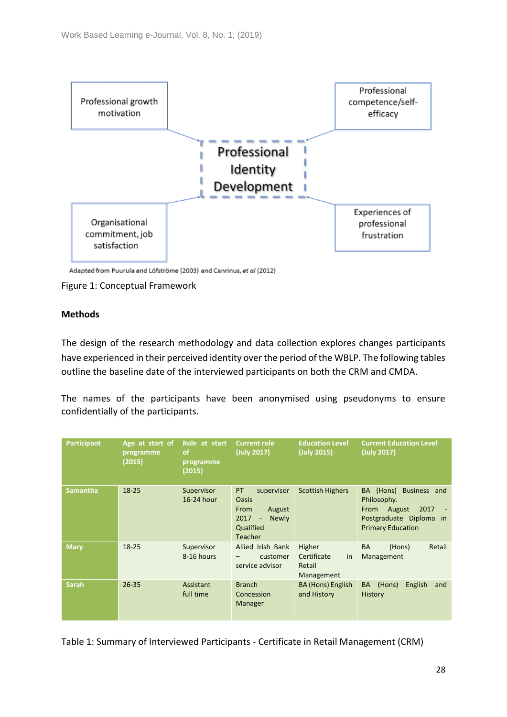

Adapted from Puurula and Löfströme (2003) and Canrinus, et al (2012)

#### Figure 1: Conceptual Framework

### **Methods**

The design of the research methodology and data collection explores changes participants have experienced in their perceived identity over the period of the WBLP. The following tables outline the baseline date of the interviewed participants on both the CRM and CMDA.

The names of the participants have been anonymised using pseudonyms to ensure confidentially of the participants.

| <b>Participant</b> | Age at start of<br>programme<br>(2015) | Role at start<br><b>of</b><br>programme<br>(2015) | <b>Current role</b><br>(July 2017)                                                                                             | <b>Education Level</b><br>(July 2015)               | <b>Current Education Level</b><br>(July 2017)                                                                                       |
|--------------------|----------------------------------------|---------------------------------------------------|--------------------------------------------------------------------------------------------------------------------------------|-----------------------------------------------------|-------------------------------------------------------------------------------------------------------------------------------------|
| <b>Samantha</b>    | $18 - 25$                              | Supervisor<br>16-24 hour                          | PT<br>supervisor<br>Oasis<br>From<br>August<br>2017<br><b>Newly</b><br>$\overline{\phantom{a}}$<br>Qualified<br><b>Teacher</b> | <b>Scottish Highers</b>                             | BA (Hons)<br>Business and<br>Philosophy.<br>2017<br>August<br><b>From</b><br>Postgraduate Diploma<br>in<br><b>Primary Education</b> |
| <b>Mary</b>        | $18 - 25$                              | Supervisor<br>8-16 hours                          | Allied Irish Bank<br>customer<br>service advisor                                                                               | Higher<br>Certificate<br>in<br>Retail<br>Management | Retail<br><b>BA</b><br>(Hons)<br>Management                                                                                         |
| <b>Sarah</b>       | $26 - 35$                              | Assistant<br>full time                            | <b>Branch</b><br>Concession<br>Manager                                                                                         | BA (Hons) English<br>and History                    | BA (Hons)<br>English<br>and<br><b>History</b>                                                                                       |

Table 1: Summary of Interviewed Participants - Certificate in Retail Management (CRM)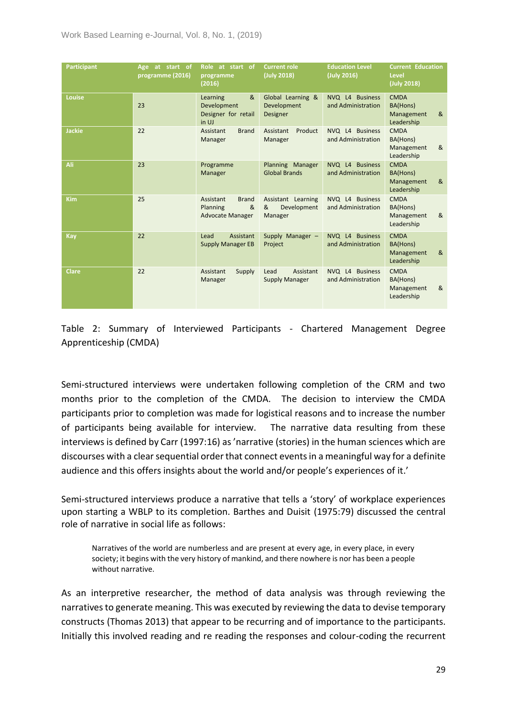| <b>Participant</b> | Age at start of<br>programme (2016) | Role at start of<br>programme<br>(2016)                               | <b>Current role</b><br>(July 2018)                  | <b>Education Level</b><br>(July 2016) | <b>Current Education</b><br>Level<br>(July 2018)         |
|--------------------|-------------------------------------|-----------------------------------------------------------------------|-----------------------------------------------------|---------------------------------------|----------------------------------------------------------|
| <b>Louise</b>      | 23                                  | &<br>Learning<br>Development<br>Designer for retail<br>in UJ          | Global Learning &<br>Development<br><b>Designer</b> | NVQ L4 Business<br>and Administration | <b>CMDA</b><br>BA(Hons)<br>&<br>Management<br>Leadership |
| <b>Jackie</b>      | 22                                  | <b>Brand</b><br>Assistant<br>Manager                                  | Assistant<br>Product<br>Manager                     | NVQ L4 Business<br>and Administration | <b>CMDA</b><br>BA(Hons)<br>&<br>Management<br>Leadership |
| Ali                | 23                                  | Programme<br>Manager                                                  | Planning Manager<br><b>Global Brands</b>            | NVQ L4 Business<br>and Administration | <b>CMDA</b><br>BA(Hons)<br>&<br>Management<br>Leadership |
| <b>Kim</b>         | 25                                  | Assistant<br><b>Brand</b><br>&<br>Planning<br><b>Advocate Manager</b> | Assistant Learning<br>&<br>Development<br>Manager   | NVQ L4 Business<br>and Administration | <b>CMDA</b><br>BA(Hons)<br>&<br>Management<br>Leadership |
| Kay                | 22                                  | Lead<br>Assistant<br><b>Supply Manager EB</b>                         | Supply Manager -<br>Project                         | NVQ L4 Business<br>and Administration | <b>CMDA</b><br>BA(Hons)<br>&<br>Management<br>Leadership |
| <b>Clare</b>       | 22                                  | Assistant<br>Supply<br>Manager                                        | Assistant<br>Lead<br><b>Supply Manager</b>          | NVQ L4 Business<br>and Administration | <b>CMDA</b><br>BA(Hons)<br>&<br>Management<br>Leadership |

Table 2: Summary of Interviewed Participants - Chartered Management Degree Apprenticeship (CMDA)

Semi-structured interviews were undertaken following completion of the CRM and two months prior to the completion of the CMDA. The decision to interview the CMDA participants prior to completion was made for logistical reasons and to increase the number of participants being available for interview. The narrative data resulting from these interviews is defined by Carr (1997:16) as 'narrative (stories) in the human sciences which are discourses with a clear sequential order that connect events in a meaningful way for a definite audience and this offers insights about the world and/or people's experiences of it.'

Semi-structured interviews produce a narrative that tells a 'story' of workplace experiences upon starting a WBLP to its completion. Barthes and Duisit (1975:79) discussed the central role of narrative in social life as follows:

Narratives of the world are numberless and are present at every age, in every place, in every society; it begins with the very history of mankind, and there nowhere is nor has been a people without narrative.

As an interpretive researcher, the method of data analysis was through reviewing the narratives to generate meaning. This was executed by reviewing the data to devise temporary constructs (Thomas 2013) that appear to be recurring and of importance to the participants. Initially this involved reading and re reading the responses and colour-coding the recurrent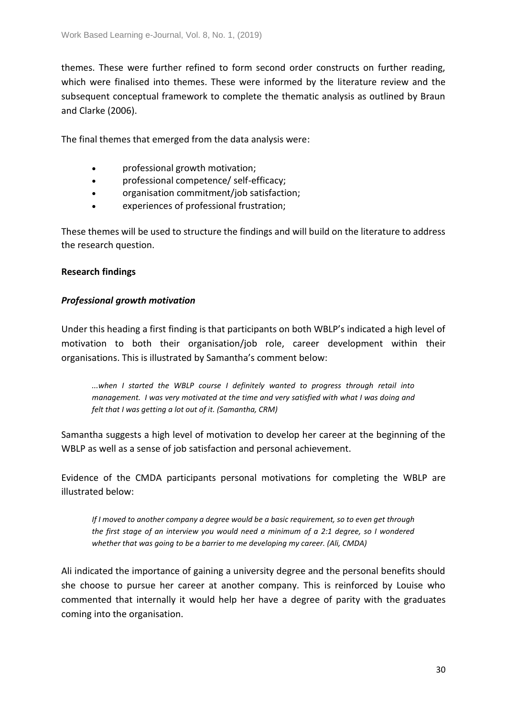themes. These were further refined to form second order constructs on further reading, which were finalised into themes. These were informed by the literature review and the subsequent conceptual framework to complete the thematic analysis as outlined by Braun and Clarke (2006).

The final themes that emerged from the data analysis were:

- professional growth motivation;
- professional competence/ self-efficacy;
- organisation commitment/job satisfaction;
- experiences of professional frustration;

These themes will be used to structure the findings and will build on the literature to address the research question.

### **Research findings**

### *Professional growth motivation*

Under this heading a first finding is that participants on both WBLP's indicated a high level of motivation to both their organisation/job role, career development within their organisations. This is illustrated by Samantha's comment below:

*...when I started the WBLP course I definitely wanted to progress through retail into management. I was very motivated at the time and very satisfied with what I was doing and felt that I was getting a lot out of it. (Samantha, CRM)*

Samantha suggests a high level of motivation to develop her career at the beginning of the WBLP as well as a sense of job satisfaction and personal achievement.

Evidence of the CMDA participants personal motivations for completing the WBLP are illustrated below:

*If I moved to another company a degree would be a basic requirement, so to even get through the first stage of an interview you would need a minimum of a 2:1 degree, so I wondered whether that was going to be a barrier to me developing my career. (Ali, CMDA)*

Ali indicated the importance of gaining a university degree and the personal benefits should she choose to pursue her career at another company. This is reinforced by Louise who commented that internally it would help her have a degree of parity with the graduates coming into the organisation.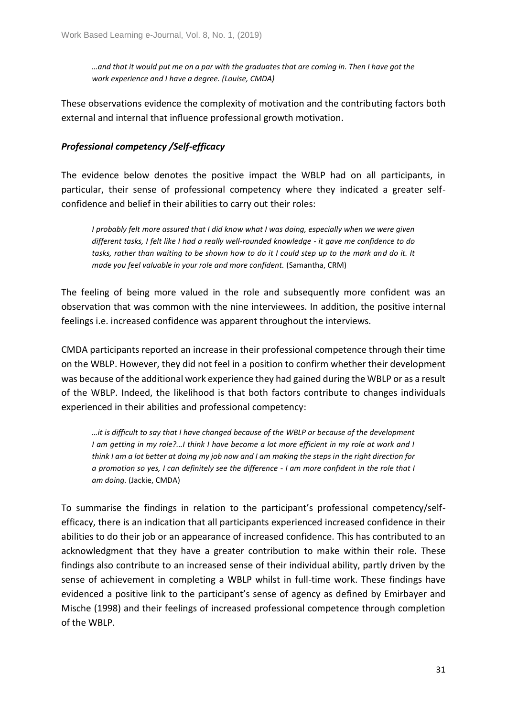*…and that it would put me on a par with the graduates that are coming in. Then I have got the work experience and I have a degree. (Louise, CMDA)*

These observations evidence the complexity of motivation and the contributing factors both external and internal that influence professional growth motivation.

# *Professional competency /Self-efficacy*

The evidence below denotes the positive impact the WBLP had on all participants, in particular, their sense of professional competency where they indicated a greater selfconfidence and belief in their abilities to carry out their roles:

*I probably felt more assured that I did know what I was doing, especially when we were given different tasks, I felt like I had a really well-rounded knowledge - it gave me confidence to do tasks, rather than waiting to be shown how to do it I could step up to the mark and do it. It made you feel valuable in your role and more confident.* (Samantha, CRM)

The feeling of being more valued in the role and subsequently more confident was an observation that was common with the nine interviewees. In addition, the positive internal feelings i.e. increased confidence was apparent throughout the interviews.

CMDA participants reported an increase in their professional competence through their time on the WBLP. However, they did not feel in a position to confirm whether their development was because of the additional work experience they had gained during the WBLP or as a result of the WBLP. Indeed, the likelihood is that both factors contribute to changes individuals experienced in their abilities and professional competency:

*…it is difficult to say that I have changed because of the WBLP or because of the development I am getting in my role?...I think I have become a lot more efficient in my role at work and I think I am a lot better at doing my job now and I am making the steps in the right direction for a promotion so yes, I can definitely see the difference - I am more confident in the role that I am doing.* (Jackie, CMDA)

To summarise the findings in relation to the participant's professional competency/selfefficacy, there is an indication that all participants experienced increased confidence in their abilities to do their job or an appearance of increased confidence. This has contributed to an acknowledgment that they have a greater contribution to make within their role. These findings also contribute to an increased sense of their individual ability, partly driven by the sense of achievement in completing a WBLP whilst in full-time work. These findings have evidenced a positive link to the participant's sense of agency as defined by Emirbayer and Mische (1998) and their feelings of increased professional competence through completion of the WBLP.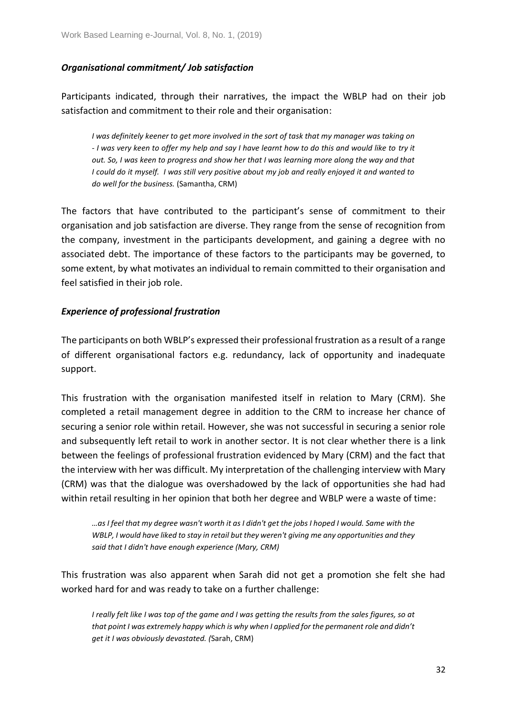# *Organisational commitment/ Job satisfaction*

Participants indicated, through their narratives, the impact the WBLP had on their job satisfaction and commitment to their role and their organisation:

*I was definitely keener to get more involved in the sort of task that my manager was taking on - I was very keen to offer my help and say I have learnt how to do this and would like to try it out. So, I was keen to progress and show her that I was learning more along the way and that I could do it myself. I was still very positive about my job and really enjoyed it and wanted to do well for the business.* (Samantha, CRM)

The factors that have contributed to the participant's sense of commitment to their organisation and job satisfaction are diverse. They range from the sense of recognition from the company, investment in the participants development, and gaining a degree with no associated debt. The importance of these factors to the participants may be governed, to some extent, by what motivates an individual to remain committed to their organisation and feel satisfied in their job role.

# *Experience of professional frustration*

The participants on both WBLP's expressed their professional frustration as a result of a range of different organisational factors e.g. redundancy, lack of opportunity and inadequate support.

This frustration with the organisation manifested itself in relation to Mary (CRM). She completed a retail management degree in addition to the CRM to increase her chance of securing a senior role within retail. However, she was not successful in securing a senior role and subsequently left retail to work in another sector. It is not clear whether there is a link between the feelings of professional frustration evidenced by Mary (CRM) and the fact that the interview with her was difficult. My interpretation of the challenging interview with Mary (CRM) was that the dialogue was overshadowed by the lack of opportunities she had had within retail resulting in her opinion that both her degree and WBLP were a waste of time:

*…as I feel that my degree wasn't worth it as I didn't get the jobs I hoped I would. Same with the WBLP, I would have liked to stay in retail but they weren't giving me any opportunities and they said that I didn't have enough experience (Mary, CRM)*

This frustration was also apparent when Sarah did not get a promotion she felt she had worked hard for and was ready to take on a further challenge:

*I really felt like I was top of the game and I was getting the results from the sales figures, so at that point I was extremely happy which is why when I applied for the permanent role and didn't get it I was obviously devastated. (*Sarah, CRM)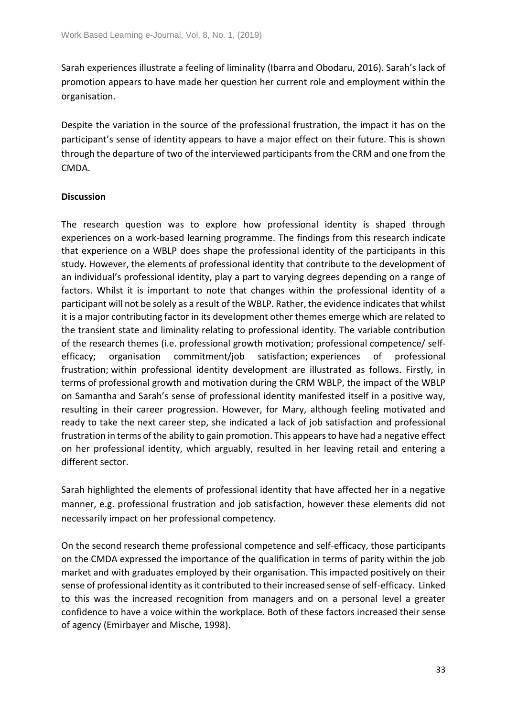Sarah experiences illustrate a feeling of liminality (Ibarra and Obodaru, 2016). Sarah's lack of promotion appears to have made her question her current role and employment within the organisation.

Despite the variation in the source of the professional frustration, the impact it has on the participant's sense of identity appears to have a major effect on their future. This is shown through the departure of two of the interviewed participants from the CRM and one from the CMDA.

## **Discussion**

The research question was to explore how professional identity is shaped through experiences on a work-based learning programme. The findings from this research indicate that experience on a WBLP does shape the professional identity of the participants in this study. However, the elements of professional identity that contribute to the development of an individual's professional identity, play a part to varying degrees depending on a range of factors. Whilst it is important to note that changes within the professional identity of a participant will not be solely as a result of the WBLP. Rather, the evidence indicates that whilst it is a major contributing factor in its development other themes emerge which are related to the transient state and liminality relating to professional identity. The variable contribution of the research themes (i.e. professional growth motivation; professional competence/ selfefficacy; organisation commitment/job satisfaction; experiences of professional frustration; within professional identity development are illustrated as follows. Firstly, in terms of professional growth and motivation during the CRM WBLP, the impact of the WBLP on Samantha and Sarah's sense of professional identity manifested itself in a positive way, resulting in their career progression. However, for Mary, although feeling motivated and ready to take the next career step, she indicated a lack of job satisfaction and professional frustration in terms of the ability to gain promotion. This appears to have had a negative effect on her professional identity, which arguably, resulted in her leaving retail and entering a different sector.

Sarah highlighted the elements of professional identity that have affected her in a negative manner, e.g. professional frustration and job satisfaction, however these elements did not necessarily impact on her professional competency.

On the second research theme professional competence and self-efficacy, those participants on the CMDA expressed the importance of the qualification in terms of parity within the job market and with graduates employed by their organisation. This impacted positively on their sense of professional identity as it contributed to their increased sense of self-efficacy. Linked to this was the increased recognition from managers and on a personal level a greater confidence to have a voice within the workplace. Both of these factors increased their sense of agency (Emirbayer and Mische, 1998).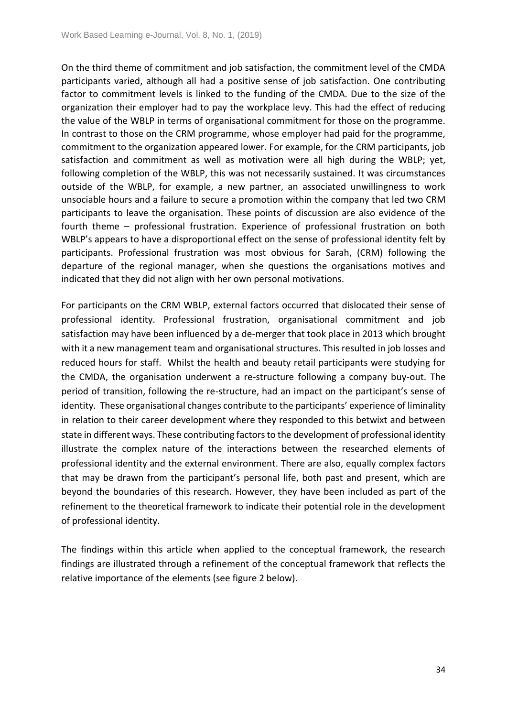On the third theme of commitment and job satisfaction, the commitment level of the CMDA participants varied, although all had a positive sense of job satisfaction. One contributing factor to commitment levels is linked to the funding of the CMDA. Due to the size of the organization their employer had to pay the workplace levy. This had the effect of reducing the value of the WBLP in terms of organisational commitment for those on the programme. In contrast to those on the CRM programme, whose employer had paid for the programme, commitment to the organization appeared lower. For example, for the CRM participants, job satisfaction and commitment as well as motivation were all high during the WBLP; yet, following completion of the WBLP, this was not necessarily sustained. It was circumstances outside of the WBLP, for example, a new partner, an associated unwillingness to work unsociable hours and a failure to secure a promotion within the company that led two CRM participants to leave the organisation. These points of discussion are also evidence of the fourth theme – professional frustration. Experience of professional frustration on both WBLP's appears to have a disproportional effect on the sense of professional identity felt by participants. Professional frustration was most obvious for Sarah, (CRM) following the departure of the regional manager, when she questions the organisations motives and indicated that they did not align with her own personal motivations.

For participants on the CRM WBLP, external factors occurred that dislocated their sense of professional identity. Professional frustration, organisational commitment and job satisfaction may have been influenced by a de-merger that took place in 2013 which brought with it a new management team and organisational structures. This resulted in job losses and reduced hours for staff. Whilst the health and beauty retail participants were studying for the CMDA, the organisation underwent a re-structure following a company buy-out. The period of transition, following the re-structure, had an impact on the participant's sense of identity. These organisational changes contribute to the participants' experience of liminality in relation to their career development where they responded to this betwixt and between state in different ways. These contributing factors to the development of professional identity illustrate the complex nature of the interactions between the researched elements of professional identity and the external environment. There are also, equally complex factors that may be drawn from the participant's personal life, both past and present, which are beyond the boundaries of this research. However, they have been included as part of the refinement to the theoretical framework to indicate their potential role in the development of professional identity.

The findings within this article when applied to the conceptual framework, the research findings are illustrated through a refinement of the conceptual framework that reflects the relative importance of the elements (see figure 2 below).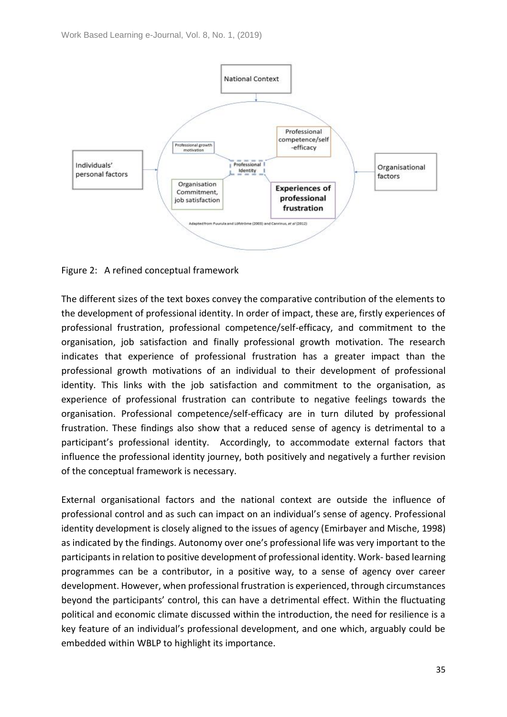

Figure 2: A refined conceptual framework

The different sizes of the text boxes convey the comparative contribution of the elements to the development of professional identity. In order of impact, these are, firstly experiences of professional frustration, professional competence/self-efficacy, and commitment to the organisation, job satisfaction and finally professional growth motivation. The research indicates that experience of professional frustration has a greater impact than the professional growth motivations of an individual to their development of professional identity. This links with the job satisfaction and commitment to the organisation, as experience of professional frustration can contribute to negative feelings towards the organisation. Professional competence/self-efficacy are in turn diluted by professional frustration. These findings also show that a reduced sense of agency is detrimental to a participant's professional identity. Accordingly, to accommodate external factors that influence the professional identity journey, both positively and negatively a further revision of the conceptual framework is necessary.

External organisational factors and the national context are outside the influence of professional control and as such can impact on an individual's sense of agency. Professional identity development is closely aligned to the issues of agency (Emirbayer and Mische, 1998) as indicated by the findings. Autonomy over one's professional life was very important to the participants in relation to positive development of professional identity. Work- based learning programmes can be a contributor, in a positive way, to a sense of agency over career development. However, when professional frustration is experienced, through circumstances beyond the participants' control, this can have a detrimental effect. Within the fluctuating political and economic climate discussed within the introduction, the need for resilience is a key feature of an individual's professional development, and one which, arguably could be embedded within WBLP to highlight its importance.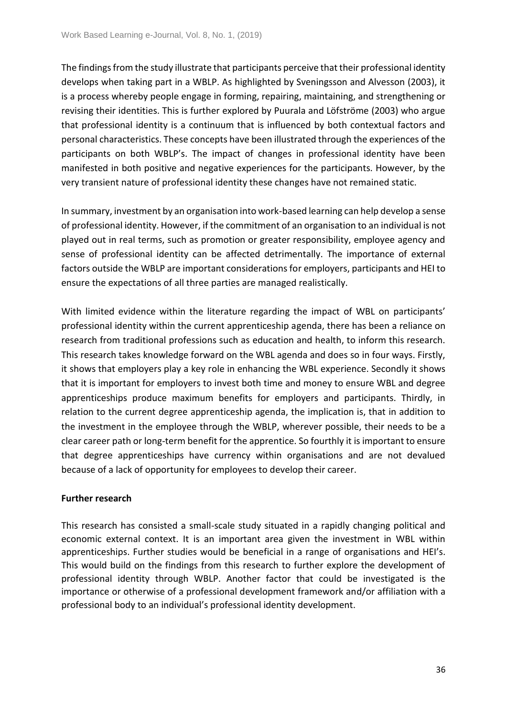The findings from the study illustrate that participants perceive that their professional identity develops when taking part in a WBLP. As highlighted by Sveningsson and Alvesson (2003), it is a process whereby people engage in forming, repairing, maintaining, and strengthening or revising their identities. This is further explored by Puurala and Löfströme (2003) who argue that professional identity is a continuum that is influenced by both contextual factors and personal characteristics. These concepts have been illustrated through the experiences of the participants on both WBLP's. The impact of changes in professional identity have been manifested in both positive and negative experiences for the participants. However, by the very transient nature of professional identity these changes have not remained static.

In summary, investment by an organisation into work-based learning can help develop a sense of professional identity. However, if the commitment of an organisation to an individual is not played out in real terms, such as promotion or greater responsibility, employee agency and sense of professional identity can be affected detrimentally. The importance of external factors outside the WBLP are important considerations for employers, participants and HEI to ensure the expectations of all three parties are managed realistically.

With limited evidence within the literature regarding the impact of WBL on participants' professional identity within the current apprenticeship agenda, there has been a reliance on research from traditional professions such as education and health, to inform this research. This research takes knowledge forward on the WBL agenda and does so in four ways. Firstly, it shows that employers play a key role in enhancing the WBL experience. Secondly it shows that it is important for employers to invest both time and money to ensure WBL and degree apprenticeships produce maximum benefits for employers and participants. Thirdly, in relation to the current degree apprenticeship agenda, the implication is, that in addition to the investment in the employee through the WBLP, wherever possible, their needs to be a clear career path or long-term benefit for the apprentice. So fourthly it is important to ensure that degree apprenticeships have currency within organisations and are not devalued because of a lack of opportunity for employees to develop their career.

# **Further research**

This research has consisted a small-scale study situated in a rapidly changing political and economic external context. It is an important area given the investment in WBL within apprenticeships. Further studies would be beneficial in a range of organisations and HEI's. This would build on the findings from this research to further explore the development of professional identity through WBLP. Another factor that could be investigated is the importance or otherwise of a professional development framework and/or affiliation with a professional body to an individual's professional identity development.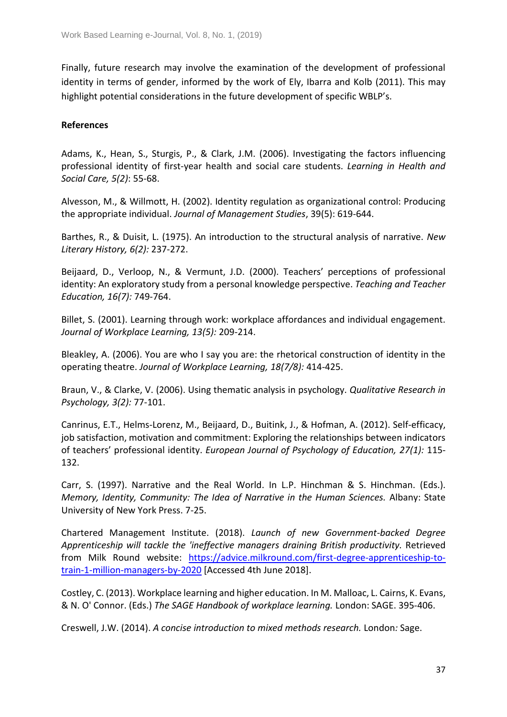Finally, future research may involve the examination of the development of professional identity in terms of gender, informed by the work of Ely, Ibarra and Kolb (2011). This may highlight potential considerations in the future development of specific WBLP's.

## **References**

Adams, K., Hean, S., Sturgis, P., & Clark, J.M. (2006). Investigating the factors influencing professional identity of first‐year health and social care students. *Learning in Health and Social Care, 5(2)*: 55-68.

Alvesson, M., & Willmott, H. (2002). Identity regulation as organizational control: Producing the appropriate individual. *Journal of Management Studies*, 39(5): 619-644.

Barthes, R., & Duisit, L. (1975). An introduction to the structural analysis of narrative. *New Literary History, 6(2):* 237-272.

Beijaard, D., Verloop, N., & Vermunt, J.D. (2000). Teachers' perceptions of professional identity: An exploratory study from a personal knowledge perspective. *Teaching and Teacher Education, 16(7):* 749-764.

Billet, S. (2001). Learning through work: workplace affordances and individual engagement. *Journal of Workplace Learning, 13(5):* 209-214.

Bleakley, A. (2006). You are who I say you are: the rhetorical construction of identity in the operating theatre. *Journal of Workplace Learning, 18(7/8):* 414-425.

Braun, V., & Clarke, V. (2006). Using thematic analysis in psychology. *Qualitative Research in Psychology, 3(2):* 77-101.

Canrinus, E.T., Helms-Lorenz, M., Beijaard, D., Buitink, J., & Hofman, A. (2012). Self-efficacy, job satisfaction, motivation and commitment: Exploring the relationships between indicators of teachers' professional identity. *European Journal of Psychology of Education, 27(1):* 115- 132.

Carr, S. (1997). Narrative and the Real World. In L.P. Hinchman & S. Hinchman. (Eds.). *Memory, Identity, Community: The Idea of Narrative in the Human Sciences.* Albany: State University of New York Press. 7-25.

Chartered Management Institute. (2018). *Launch of new Government-backed Degree Apprenticeship will tackle the 'ineffective managers draining British productivity.* Retrieved from Milk Round website: [https://advice.milkround.com/first-degree-apprenticeship-to](https://advice.milkround.com/first-degree-apprenticeship-to-train-1-million-managers-by-2020)[train-1-million-managers-by-2020](https://advice.milkround.com/first-degree-apprenticeship-to-train-1-million-managers-by-2020) [Accessed 4th June 2018].

Costley, C. (2013). Workplace learning and higher education. In M. Malloac, L. Cairns, K. Evans, & N. O' Connor. (Eds.) *The SAGE Handbook of workplace learning.* London: SAGE. 395-406.

Creswell, J.W. (2014). *A concise introduction to mixed methods research.* London*:* Sage.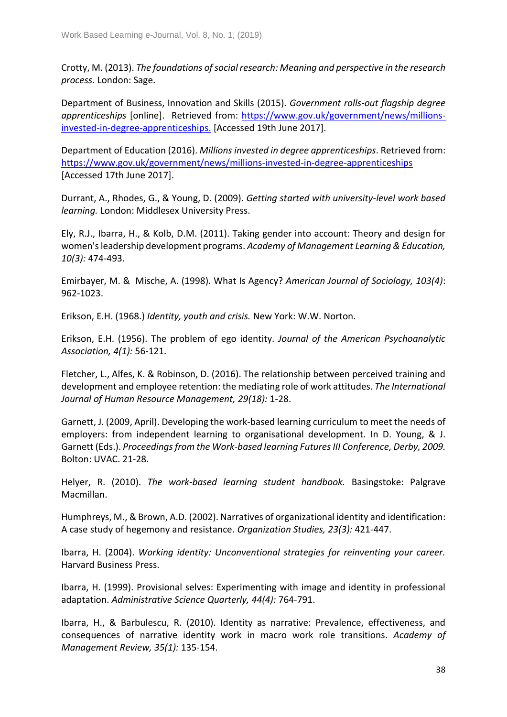Crotty, M. (2013). *The foundations of social research: Meaning and perspective in the research process.* London: Sage.

Department of Business, Innovation and Skills (2015). *Government rolls-out flagship degree apprenticeships* [online]. Retrieved from: [https://www.gov.uk/government/news/millions](https://www.gov.uk/government/news/millions-invested-in-degree-apprenticeships.)[invested-in-degree-apprenticeships.](https://www.gov.uk/government/news/millions-invested-in-degree-apprenticeships.) [Accessed 19th June 2017].

Department of Education (2016). *Millions invested in degree apprenticeships*. Retrieved from: <https://www.gov.uk/government/news/millions-invested-in-degree-apprenticeships> [Accessed 17th June 2017].

Durrant, A., Rhodes, G., & Young, D. (2009). *Getting started with university-level work based learning.* London: Middlesex University Press.

Ely, R.J., Ibarra, H., & Kolb, D.M. (2011). Taking gender into account: Theory and design for women's leadership development programs. *Academy of Management Learning & Education, 10(3):* 474-493.

Emirbayer, M. & Mische, A. (1998). What Is Agency? *American Journal of Sociology, 103(4)*: 962-1023.

Erikson, E.H. (1968.) *Identity, youth and crisis.* New York: W.W. Norton.

Erikson, E.H. (1956). The problem of ego identity. *Journal of the American Psychoanalytic Association, 4(1):* 56-121.

Fletcher, L., Alfes, K. & Robinson, D. (2016). The relationship between perceived training and development and employee retention: the mediating role of work attitudes. *The International Journal of Human Resource Management, 29(18):* 1-28.

Garnett, J. (2009, April). Developing the work-based learning curriculum to meet the needs of employers: from independent learning to organisational development. In D. Young, & J. Garnett (Eds.). *Proceedings from the Work-based learning Futures III Conference, Derby, 2009.*  Bolton: UVAC. 21-28.

Helyer, R. (2010). *The work-based learning student handbook.* Basingstoke: Palgrave Macmillan.

Humphreys, M., & Brown, A.D. (2002). Narratives of organizational identity and identification: A case study of hegemony and resistance. *Organization Studies, 23(3):* 421-447.

Ibarra, H. (2004). *Working identity: Unconventional strategies for reinventing your career.*  Harvard Business Press.

Ibarra, H. (1999). Provisional selves: Experimenting with image and identity in professional adaptation. *Administrative Science Quarterly, 44(4):* 764-791.

Ibarra, H., & Barbulescu, R. (2010). Identity as narrative: Prevalence, effectiveness, and consequences of narrative identity work in macro work role transitions. *Academy of Management Review, 35(1):* 135-154.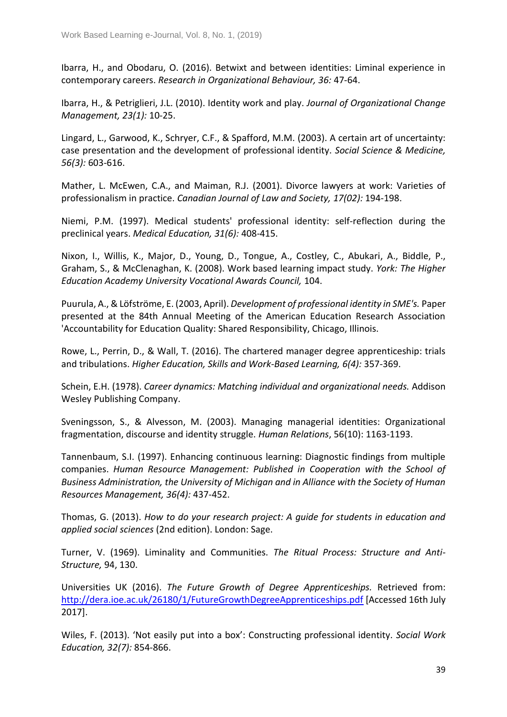Ibarra, H., and Obodaru, O. (2016). Betwixt and between identities: Liminal experience in contemporary careers. *Research in Organizational Behaviour, 36:* 47-64.

Ibarra, H., & Petriglieri, J.L. (2010). Identity work and play. *Journal of Organizational Change Management, 23(1):* 10-25.

Lingard, L., Garwood, K., Schryer, C.F., & Spafford, M.M. (2003). A certain art of uncertainty: case presentation and the development of professional identity. *Social Science & Medicine, 56(3):* 603-616.

Mather, L. McEwen, C.A., and Maiman, R.J. (2001). Divorce lawyers at work: Varieties of professionalism in practice. *Canadian Journal of Law and Society, 17(02):* 194-198.

Niemi, P.M. (1997). Medical students' professional identity: self‐reflection during the preclinical years. *Medical Education, 31(6):* 408-415.

Nixon, I., Willis, K., Major, D., Young, D., Tongue, A., Costley, C., Abukari, A., Biddle, P., Graham, S., & McClenaghan, K. (2008). Work based learning impact study. *York: The Higher Education Academy University Vocational Awards Council,* 104.

Puurula, A., & Löfströme, E. (2003, April). *Development of professional identity in SME's.* Paper presented at the 84th Annual Meeting of the American Education Research Association 'Accountability for Education Quality: Shared Responsibility, Chicago, Illinois.

Rowe, L., Perrin, D., & Wall, T. (2016). The chartered manager degree apprenticeship: trials and tribulations. *Higher Education, Skills and Work-Based Learning, 6(4):* 357-369.

Schein, E.H. (1978). *Career dynamics: Matching individual and organizational needs.* Addison Wesley Publishing Company.

Sveningsson, S., & Alvesson, M. (2003). Managing managerial identities: Organizational fragmentation, discourse and identity struggle. *Human Relations*, 56(10): 1163-1193.

Tannenbaum, S.I. (1997). Enhancing continuous learning: Diagnostic findings from multiple companies. *Human Resource Management: Published in Cooperation with the School of Business Administration, the University of Michigan and in Alliance with the Society of Human Resources Management, 36(4):* 437-452.

Thomas, G. (2013). *How to do your research project: A guide for students in education and applied social sciences* (2nd edition). London: Sage.

Turner, V. (1969). Liminality and Communities. *The Ritual Process: Structure and Anti-Structure,* 94, 130.

Universities UK (2016). *The Future Growth of Degree Apprenticeships.* Retrieved from: <http://dera.ioe.ac.uk/26180/1/FutureGrowthDegreeApprenticeships.pdf> [Accessed 16th July 2017].

Wiles, F. (2013). 'Not easily put into a box': Constructing professional identity. *Social Work Education, 32(7):* 854-866.